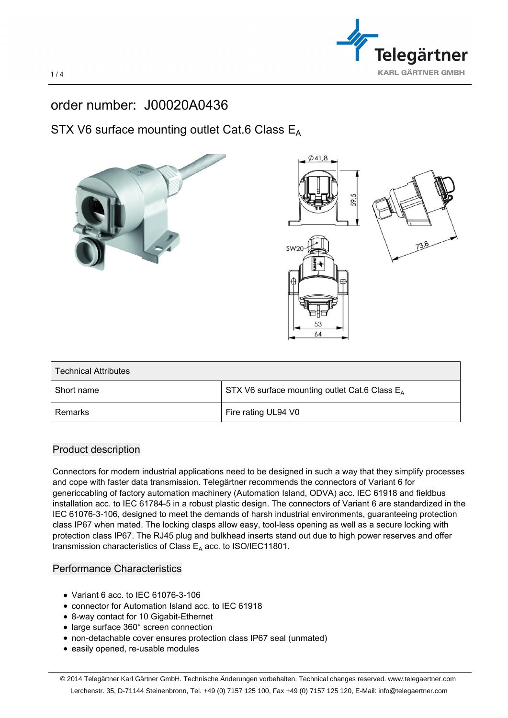

## order number: J00020A0436

## STX V6 surface mounting outlet Cat.6 Class  $E_A$



| Short name | STX V6 surface mounting outlet Cat.6 Class $E_A$ |
|------------|--------------------------------------------------|
| Remarks    | Fire rating UL94 V0                              |

## Product description

Connectors for modern industrial applications need to be designed in such a way that they simplify processes and cope with faster data transmission. Telegärtner recommends the connectors of Variant 6 for genericcabling of factory automation machinery (Automation Island, ODVA) acc. IEC 61918 and fieldbus installation acc. to IEC 61784-5 in a robust plastic design. The connectors of Variant 6 are standardized in the IEC 61076-3-106, designed to meet the demands of harsh industrial environments, guaranteeing protection class IP67 when mated. The locking clasps allow easy, tool-less opening as well as a secure locking with protection class IP67. The RJ45 plug and bulkhead inserts stand out due to high power reserves and offer transmission characteristics of Class  $E_A$  acc. to ISO/IEC11801.

## Performance Characteristics

- Variant 6 acc. to IEC 61076-3-106
- connector for Automation Island acc. to IEC 61918
- 8-way contact for 10 Gigabit-Ethernet
- large surface 360° screen connection
- non-detachable cover ensures protection class IP67 seal (unmated)
- easily opened, re-usable modules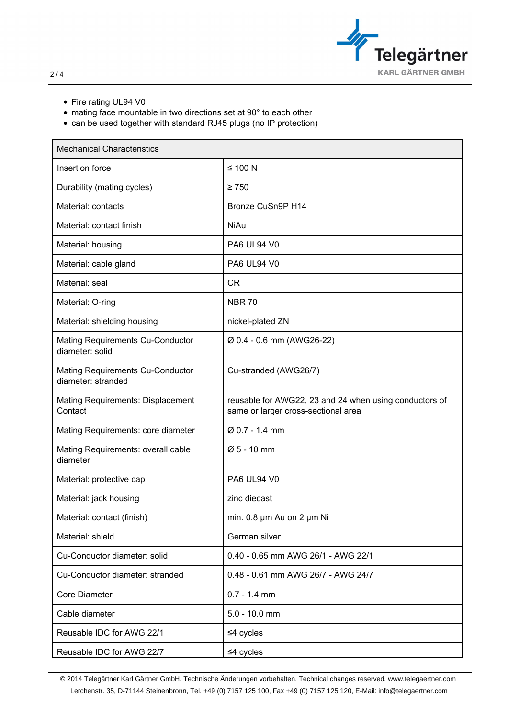

- Fire rating UL94 V0
- mating face mountable in two directions set at 90° to each other
- can be used together with standard RJ45 plugs (no IP protection)

| <b>Mechanical Characteristics</b>                          |                                                                                               |
|------------------------------------------------------------|-----------------------------------------------------------------------------------------------|
| Insertion force                                            | $≤ 100 N$                                                                                     |
| Durability (mating cycles)                                 | $\geq 750$                                                                                    |
| Material: contacts                                         | Bronze CuSn9P H14                                                                             |
| Material: contact finish                                   | <b>NiAu</b>                                                                                   |
| Material: housing                                          | <b>PA6 UL94 V0</b>                                                                            |
| Material: cable gland                                      | <b>PA6 UL94 V0</b>                                                                            |
| Material: seal                                             | <b>CR</b>                                                                                     |
| Material: O-ring                                           | <b>NBR 70</b>                                                                                 |
| Material: shielding housing                                | nickel-plated ZN                                                                              |
| <b>Mating Requirements Cu-Conductor</b><br>diameter: solid | Ø 0.4 - 0.6 mm (AWG26-22)                                                                     |
| Mating Requirements Cu-Conductor<br>diameter: stranded     | Cu-stranded (AWG26/7)                                                                         |
| Mating Requirements: Displacement<br>Contact               | reusable for AWG22, 23 and 24 when using conductors of<br>same or larger cross-sectional area |
| Mating Requirements: core diameter                         | Ø 0.7 - 1.4 mm                                                                                |
| Mating Requirements: overall cable<br>diameter             | $Ø 5 - 10$ mm                                                                                 |
| Material: protective cap                                   | <b>PA6 UL94 V0</b>                                                                            |
| Material: jack housing                                     | zinc diecast                                                                                  |
| Material: contact (finish)                                 | min. 0.8 µm Au on 2 µm Ni                                                                     |
| Material: shield                                           | German silver                                                                                 |
| Cu-Conductor diameter: solid                               | 0.40 - 0.65 mm AWG 26/1 - AWG 22/1                                                            |
| Cu-Conductor diameter: stranded                            | 0.48 - 0.61 mm AWG 26/7 - AWG 24/7                                                            |
| Core Diameter                                              | $0.7 - 1.4$ mm                                                                                |
| Cable diameter                                             | $5.0 - 10.0$ mm                                                                               |
| Reusable IDC for AWG 22/1                                  | $≤4$ cycles                                                                                   |
| Reusable IDC for AWG 22/7                                  | $≤4$ cycles                                                                                   |

© 2014 Telegärtner Karl Gärtner GmbH. Technische Änderungen vorbehalten. Technical changes reserved. www.telegaertner.com Lerchenstr. 35, D-71144 Steinenbronn, Tel. +49 (0) 7157 125 100, Fax +49 (0) 7157 125 120, E-Mail: info@telegaertner.com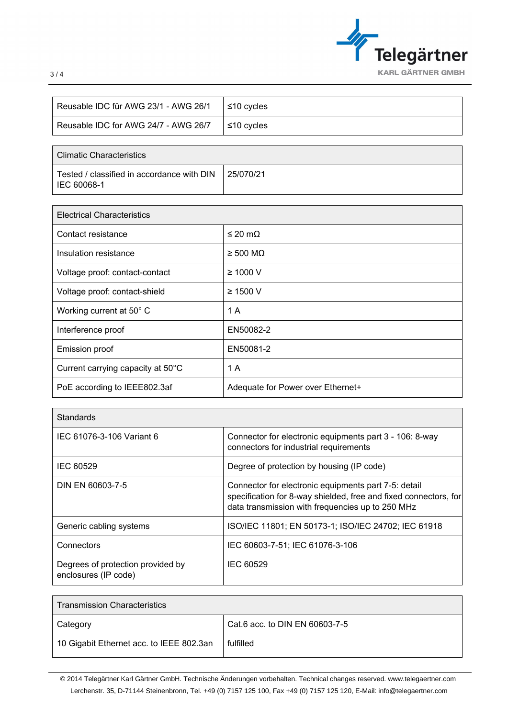

| Reusable IDC für AWG 23/1 - AWG 26/1 | ≤10 cycles   |
|--------------------------------------|--------------|
| Reusable IDC for AWG 24/7 - AWG 26/7 | S10 cvcles ≾ |

| <b>Climatic Characteristics</b>                           |           |
|-----------------------------------------------------------|-----------|
| Tested / classified in accordance with DIN<br>IEC 60068-1 | 25/070/21 |

| <b>Electrical Characteristics</b> |                                   |
|-----------------------------------|-----------------------------------|
| Contact resistance                | $\leq$ 20 m $\Omega$              |
| Insulation resistance             | $\geq 500 \text{ M}\Omega$        |
| Voltage proof: contact-contact    | $\geq 1000$ V                     |
| Voltage proof: contact-shield     | $\geq$ 1500 V                     |
| Working current at 50° C          | 1 A                               |
| Interference proof                | EN50082-2                         |
| <b>Emission proof</b>             | EN50081-2                         |
| Current carrying capacity at 50°C | 1 A                               |
| PoE according to IEEE802.3af      | Adequate for Power over Ethernet+ |

| Standards                                                 |                                                                                                                                                                              |
|-----------------------------------------------------------|------------------------------------------------------------------------------------------------------------------------------------------------------------------------------|
| IEC 61076-3-106 Variant 6                                 | Connector for electronic equipments part 3 - 106: 8-way<br>connectors for industrial requirements                                                                            |
| IEC 60529                                                 | Degree of protection by housing (IP code)                                                                                                                                    |
| DIN EN 60603-7-5                                          | Connector for electronic equipments part 7-5: detail<br>specification for 8-way shielded, free and fixed connectors, for<br>data transmission with frequencies up to 250 MHz |
| Generic cabling systems                                   | ISO/IEC 11801; EN 50173-1; ISO/IEC 24702; IEC 61918                                                                                                                          |
| Connectors                                                | IEC 60603-7-51; IEC 61076-3-106                                                                                                                                              |
| Degrees of protection provided by<br>enclosures (IP code) | IEC 60529                                                                                                                                                                    |

| <b>Transmission Characteristics</b>      |                                |
|------------------------------------------|--------------------------------|
| Category                                 | Cat.6 acc. to DIN EN 60603-7-5 |
| 10 Gigabit Ethernet acc. to IEEE 802.3an | fulfilled                      |

© 2014 Telegärtner Karl Gärtner GmbH. Technische Änderungen vorbehalten. Technical changes reserved. www.telegaertner.com Lerchenstr. 35, D-71144 Steinenbronn, Tel. +49 (0) 7157 125 100, Fax +49 (0) 7157 125 120, E-Mail: info@telegaertner.com

3 / 4